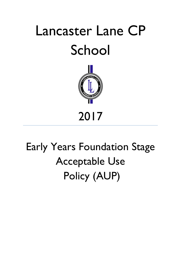# Lancaster Lane CP School



# Early Years Foundation Stage Acceptable Use Policy (AUP)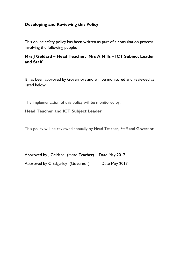## **Developing and Reviewing this Policy**

This online safety policy has been written as part of a consultation process involving the following people:

# **Mrs J Geldard – Head Teacher, Mrs A Mills – ICT Subject Leader and Staff**

It has been approved by Governors and will be monitored and reviewed as listed below:

The implementation of this policy will be monitored by:

### **Head Teacher and ICT Subject Leader**

This policy will be reviewed annually by Head Teacher, Staff and Governor

| Approved by J Geldard (Head Teacher) Date May 2017 |               |
|----------------------------------------------------|---------------|
| Approved by C Edgerley (Governor)                  | Date May 2017 |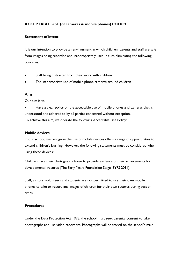#### **ACCEPTABLE USE (of cameras & mobile phones) POLICY**

#### **Statement of intent**

It is our intention to provide an environment in which children, parents and staff are safe from images being recorded and inappropriately used in turn eliminating the following concerns:

- Staff being distracted from their work with children
- The inappropriate use of mobile phone cameras around children

#### **Aim**

Our aim is to:

Have a clear policy on the acceptable use of mobile phones and cameras that is understood and adhered to by all parties concerned without exception. To achieve this aim, we operate the following Acceptable Use Policy:

#### **Mobile devices**

In our school, we recognise the use of mobile devices offers a range of opportunities to extend children's learning. However, the following statements must be considered when using these devices:

Children have their photographs taken to provide evidence of their achievements for developmental records (The Early Years Foundation Stage, EYFS 2014).

Staff, visitors, volunteers and students are not permitted to use their own mobile phones to take or record any images of children for their own records during session times.

#### **Procedures**

Under the Data Protection Act 1998, the school must seek parental consent to take photographs and use video recorders. Photographs will be stored on the school's main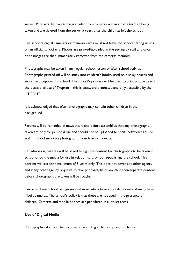server. Photographs have to be uploaded from cameras within a half a term of being taken and are deleted from the server 5 years after the child has left the school.

The school's digital camera/s or memory cards must not leave the school setting unless on an official school trip. Photos are printed/uploaded in the setting by staff and once done images are then immediately removed from the cameras memory.

Photographs may be taken in any regular school lesson or after school activity. Photographs printed off will be stuck into children's books, used on display boards and stored in a cupboard in school. The school's printers will be used to print photos as will the occasional use of Truprint – this is password protected and only accessible by the HT / DHT.

It is acknowledged that often photographs may contain other children in the background.

Parents will be reminded in newsletters and before assemblies that any photographs taken are only for personal use and should not be uploaded to social network sites. All staff in school may take photographs from lessons / events.

On admission, parents will be asked to sign the consent for photographs to be taken in school or by the media for use in relation to promoting/publishing the school. This consent will last for a maximum of 5 years only. This does not cover any other agency and if any other agency requests to take photographs of any child then separate consent before photographs are taken will be sought.

Lancaster Lane School recognises that most adults have a mobile phone and many have inbuilt cameras. The school's policy is that these are not used in the presence of children. Cameras and mobile phones are prohibited in all toilet areas.

#### **Use of Digital Media**

Photographs taken for the purpose of recording a child or group of children